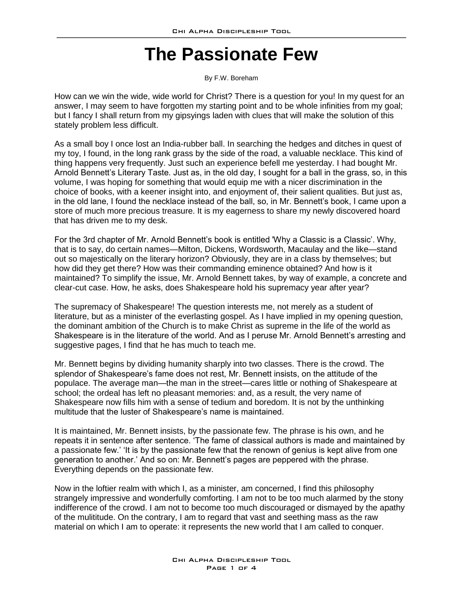## **The Passionate Few**

By F.W. Boreham

How can we win the wide, wide world for Christ? There is a question for you! In my quest for an answer, I may seem to have forgotten my starting point and to be whole infinities from my goal; but I fancy I shall return from my gipsyings laden with clues that will make the solution of this stately problem less difficult.

As a small boy I once lost an India-rubber ball. In searching the hedges and ditches in quest of my toy, I found, in the long rank grass by the side of the road, a valuable necklace. This kind of thing happens very frequently. Just such an experience befell me yesterday. I had bought Mr. Arnold Bennett's Literary Taste. Just as, in the old day, I sought for a ball in the grass, so, in this volume, I was hoping for something that would equip me with a nicer discrimination in the choice of books, with a keener insight into, and enjoyment of, their salient qualities. But just as, in the old lane, I found the necklace instead of the ball, so, in Mr. Bennett's book, I came upon a store of much more precious treasure. It is my eagerness to share my newly discovered hoard that has driven me to my desk.

For the 3rd chapter of Mr. Arnold Bennett's book is entitled 'Why a Classic is a Classic'. Why, that is to say, do certain names—Milton, Dickens, Wordsworth, Macaulay and the like—stand out so majestically on the literary horizon? Obviously, they are in a class by themselves; but how did they get there? How was their commanding eminence obtained? And how is it maintained? To simplify the issue, Mr. Arnold Bennett takes, by way of example, a concrete and clear-cut case. How, he asks, does Shakespeare hold his supremacy year after year?

The supremacy of Shakespeare! The question interests me, not merely as a student of literature, but as a minister of the everlasting gospel. As I have implied in my opening question, the dominant ambition of the Church is to make Christ as supreme in the life of the world as Shakespeare is in the literature of the world. And as I peruse Mr. Arnold Bennett's arresting and suggestive pages, I find that he has much to teach me.

Mr. Bennett begins by dividing humanity sharply into two classes. There is the crowd. The splendor of Shakespeare's fame does not rest, Mr. Bennett insists, on the attitude of the populace. The average man—the man in the street—cares little or nothing of Shakespeare at school; the ordeal has left no pleasant memories: and, as a result, the very name of Shakespeare now fills him with a sense of tedium and boredom. It is not by the unthinking multitude that the luster of Shakespeare's name is maintained.

It is maintained, Mr. Bennett insists, by the passionate few. The phrase is his own, and he repeats it in sentence after sentence. 'The fame of classical authors is made and maintained by a passionate few.' 'It is by the passionate few that the renown of genius is kept alive from one generation to another.' And so on: Mr. Bennett's pages are peppered with the phrase. Everything depends on the passionate few.

Now in the loftier realm with which I, as a minister, am concerned, I find this philosophy strangely impressive and wonderfully comforting. I am not to be too much alarmed by the stony indifference of the crowd. I am not to become too much discouraged or dismayed by the apathy of the mulititude. On the contrary, I am to regard that vast and seething mass as the raw material on which I am to operate: it represents the new world that I am called to conquer.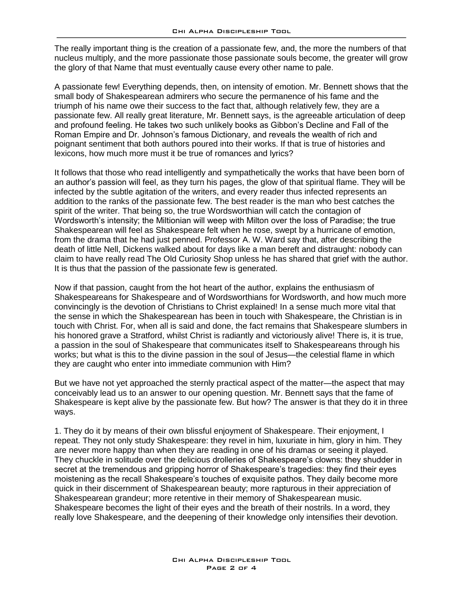The really important thing is the creation of a passionate few, and, the more the numbers of that nucleus multiply, and the more passionate those passionate souls become, the greater will grow the glory of that Name that must eventually cause every other name to pale.

A passionate few! Everything depends, then, on intensity of emotion. Mr. Bennett shows that the small body of Shakespearean admirers who secure the permanence of his fame and the triumph of his name owe their success to the fact that, although relatively few, they are a passionate few. All really great literature, Mr. Bennett says, is the agreeable articulation of deep and profound feeling. He takes two such unlikely books as Gibbon's Decline and Fall of the Roman Empire and Dr. Johnson's famous Dictionary, and reveals the wealth of rich and poignant sentiment that both authors poured into their works. If that is true of histories and lexicons, how much more must it be true of romances and lyrics?

It follows that those who read intelligently and sympathetically the works that have been born of an author's passion will feel, as they turn his pages, the glow of that spiritual flame. They will be infected by the subtle agitation of the writers, and every reader thus infected represents an addition to the ranks of the passionate few. The best reader is the man who best catches the spirit of the writer. That being so, the true Wordsworthian will catch the contagion of Wordsworth's intensity; the Miltionian will weep with Milton over the loss of Paradise; the true Shakespearean will feel as Shakespeare felt when he rose, swept by a hurricane of emotion, from the drama that he had just penned. Professor A. W. Ward say that, after describing the death of little Nell, Dickens walked about for days like a man bereft and distraught: nobody can claim to have really read The Old Curiosity Shop unless he has shared that grief with the author. It is thus that the passion of the passionate few is generated.

Now if that passion, caught from the hot heart of the author, explains the enthusiasm of Shakespeareans for Shakespeare and of Wordsworthians for Wordsworth, and how much more convincingly is the devotion of Christians to Christ explained! In a sense much more vital that the sense in which the Shakespearean has been in touch with Shakespeare, the Christian is in touch with Christ. For, when all is said and done, the fact remains that Shakespeare slumbers in his honored grave a Stratford, whilst Christ is radiantly and victoriously alive! There is, it is true, a passion in the soul of Shakespeare that communicates itself to Shakespeareans through his works; but what is this to the divine passion in the soul of Jesus—the celestial flame in which they are caught who enter into immediate communion with Him?

But we have not yet approached the sternly practical aspect of the matter—the aspect that may conceivably lead us to an answer to our opening question. Mr. Bennett says that the fame of Shakespeare is kept alive by the passionate few. But how? The answer is that they do it in three ways.

1. They do it by means of their own blissful enjoyment of Shakespeare. Their enjoyment, I repeat. They not only study Shakespeare: they revel in him, luxuriate in him, glory in him. They are never more happy than when they are reading in one of his dramas or seeing it played. They chuckle in solitude over the delicious drolleries of Shakespeare's clowns: they shudder in secret at the tremendous and gripping horror of Shakespeare's tragedies: they find their eyes moistening as the recall Shakespeare's touches of exquisite pathos. They daily become more quick in their discernment of Shakespearean beauty; more rapturous in their appreciation of Shakespearean grandeur; more retentive in their memory of Shakespearean music. Shakespeare becomes the light of their eyes and the breath of their nostrils. In a word, they really love Shakespeare, and the deepening of their knowledge only intensifies their devotion.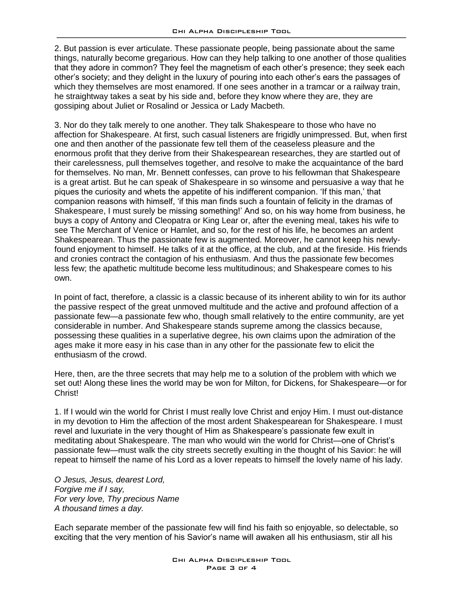2. But passion is ever articulate. These passionate people, being passionate about the same things, naturally become gregarious. How can they help talking to one another of those qualities that they adore in common? They feel the magnetism of each other's presence; they seek each other's society; and they delight in the luxury of pouring into each other's ears the passages of which they themselves are most enamored. If one sees another in a tramcar or a railway train, he straightway takes a seat by his side and, before they know where they are, they are gossiping about Juliet or Rosalind or Jessica or Lady Macbeth.

3. Nor do they talk merely to one another. They talk Shakespeare to those who have no affection for Shakespeare. At first, such casual listeners are frigidly unimpressed. But, when first one and then another of the passionate few tell them of the ceaseless pleasure and the enormous profit that they derive from their Shakespearean researches, they are startled out of their carelessness, pull themselves together, and resolve to make the acquaintance of the bard for themselves. No man, Mr. Bennett confesses, can prove to his fellowman that Shakespeare is a great artist. But he can speak of Shakespeare in so winsome and persuasive a way that he piques the curiosity and whets the appetite of his indifferent companion. 'If this man,' that companion reasons with himself, 'if this man finds such a fountain of felicity in the dramas of Shakespeare, I must surely be missing something!' And so, on his way home from business, he buys a copy of Antony and Cleopatra or King Lear or, after the evening meal, takes his wife to see The Merchant of Venice or Hamlet, and so, for the rest of his life, he becomes an ardent Shakespearean. Thus the passionate few is augmented. Moreover, he cannot keep his newlyfound enjoyment to himself. He talks of it at the office, at the club, and at the fireside. His friends and cronies contract the contagion of his enthusiasm. And thus the passionate few becomes less few; the apathetic multitude become less multitudinous; and Shakespeare comes to his own.

In point of fact, therefore, a classic is a classic because of its inherent ability to win for its author the passive respect of the great unmoved multitude and the active and profound affection of a passionate few—a passionate few who, though small relatively to the entire community, are yet considerable in number. And Shakespeare stands supreme among the classics because, possessing these qualities in a superlative degree, his own claims upon the admiration of the ages make it more easy in his case than in any other for the passionate few to elicit the enthusiasm of the crowd.

Here, then, are the three secrets that may help me to a solution of the problem with which we set out! Along these lines the world may be won for Milton, for Dickens, for Shakespeare—or for Christ!

1. If I would win the world for Christ I must really love Christ and enjoy Him. I must out-distance in my devotion to Him the affection of the most ardent Shakespearean for Shakespeare. I must revel and luxuriate in the very thought of Him as Shakespeare's passionate few exult in meditating about Shakespeare. The man who would win the world for Christ—one of Christ's passionate few—must walk the city streets secretly exulting in the thought of his Savior: he will repeat to himself the name of his Lord as a lover repeats to himself the lovely name of his lady.

*O Jesus, Jesus, dearest Lord, Forgive me if I say, For very love, Thy precious Name A thousand times a day.*

Each separate member of the passionate few will find his faith so enjoyable, so delectable, so exciting that the very mention of his Savior's name will awaken all his enthusiasm, stir all his